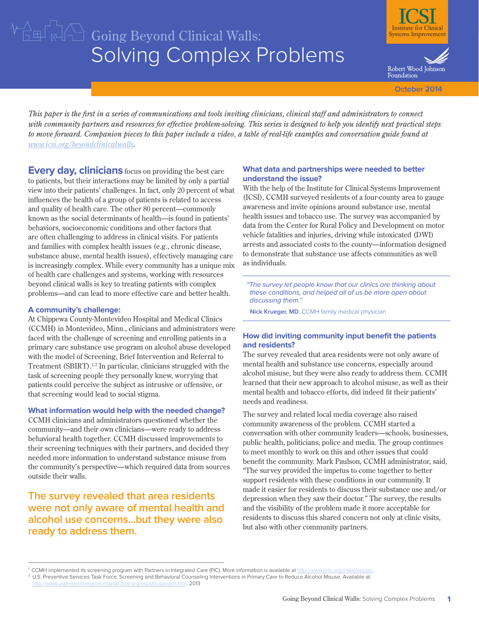# Solving Complex Problems  $\sqrt{\frac{1}{2}\ln\left(\frac{1}{2}\right)}$   $\frac{1}{2}\sqrt{\frac{1}{2}}$  Going Beyond Clinical Walls:



Robert Wood Johnson Foundation

**October 2014**

*This paper is the first in a series of communications and tools inviting clinicians, clinical staff and administrators to connect with community partners and resources for effective problem-solving. This series is designed to help you identify next practical steps to move forward. Companion pieces to this paper include a video, a table of real-life examples and conversation guide found at [www.icsi.org/beyondclinicalwalls.](http://www.icsi.org/beyondclinicalwalls)*

**Every day, clinicians** focus on providing the best care to patients, but their interactions may be limited by only a partial view into their patients' challenges. In fact, only 20 percent of what influences the health of a group of patients is related to access and quality of health care. The other 80 percent—commonly known as the social determinants of health—is found in patients' behaviors, socioeconomic conditions and other factors that are often challenging to address in clinical visits. For patients and families with complex health issues (e.g., chronic disease, substance abuse, mental health issues), effectively managing care is increasingly complex. While every community has a unique mix of health care challenges and systems, working with resources beyond clinical walls is key to treating patients with complex problems—and can lead to more effective care and better health.

#### **A community's challenge:**

At Chippewa County-Montevideo Hospital and Medical Clinics (CCMH) in Montevideo, Minn., clinicians and administrators were faced with the challenge of screening and enrolling patients in a primary care substance use program on alcohol abuse developed with the model of Screening, Brief Intervention and Referral to Treatment (SBIRT).1,2 In particular, clinicians struggled with the task of screening people they personally knew, worrying that patients could perceive the subject as intrusive or offensive, or that screening would lead to social stigma.

#### **What information would help with the needed change?**

CCMH clinicians and administrators questioned whether the community—and their own clinicians—were ready to address behavioral health together. CCMH discussed improvements to their screening techniques with their partners, and decided they needed more information to understand substance misuse from the community's perspective—which required data from sources outside their walls.

**The survey revealed that area residents were not only aware of mental health and alcohol use concerns...but they were also ready to address them.**

## **What data and partnerships were needed to better understand the issue?**

With the help of the Institute for Clinical Systems Improvement (ICSI), CCMH surveyed residents of a four-county area to gauge awareness and invite opinions around substance use, mental health issues and tobacco use. The survey was accompanied by data from the Center for Rural Policy and Development on motor vehicle fatalities and injuries, driving while intoxicated (DWI) arrests and associated costs to the county—information designed to demonstrate that substance use affects communities as well as individuals.

"The survey let people know that our clinics are thinking about these conditions, and helped all of us be more open about discussing them."

**Nick Krueger, MD**, CCMH family medical physician

## **How did inviting community input benefit the patients and residents?**

The survey revealed that area residents were not only aware of mental health and substance use concerns, especially around alcohol misuse, but they were also ready to address them. CCMH learned that their new approach to alcohol misuse, as well as their mental health and tobacco efforts, did indeed fit their patients' needs and readiness.

The survey and related local media coverage also raised community awareness of the problem. CCMH started a conversation with other community leaders—schools, businesses, public health, politicians, police and media. The group continues to meet monthly to work on this and other issues that could benefit the community. Mark Paulson, CCMH administrator, said, "The survey provided the impetus to come together to better support residents with these conditions in our community. It made it easier for residents to discuss their substance use and/or depression when they saw their doctor." The survey, the results and the visibility of the problem made it more acceptable for residents to discuss this shared concern not only at clinic visits, but also with other community partners.

<sup>&</sup>lt;sup>1</sup> CCMH implemented its screening program with Partners in Integrated Care (PIC). More information is available at http://www.prhi.org <sup>2</sup> U.S. Preventive Services Task Force. Screening and Behavioral Counseling Interventions in Primary Care to Reduce Alcohol Misuse. Available at: www.uspreventiveservicestaskforce.org/uspstf/uspsdrin.htm. 2013